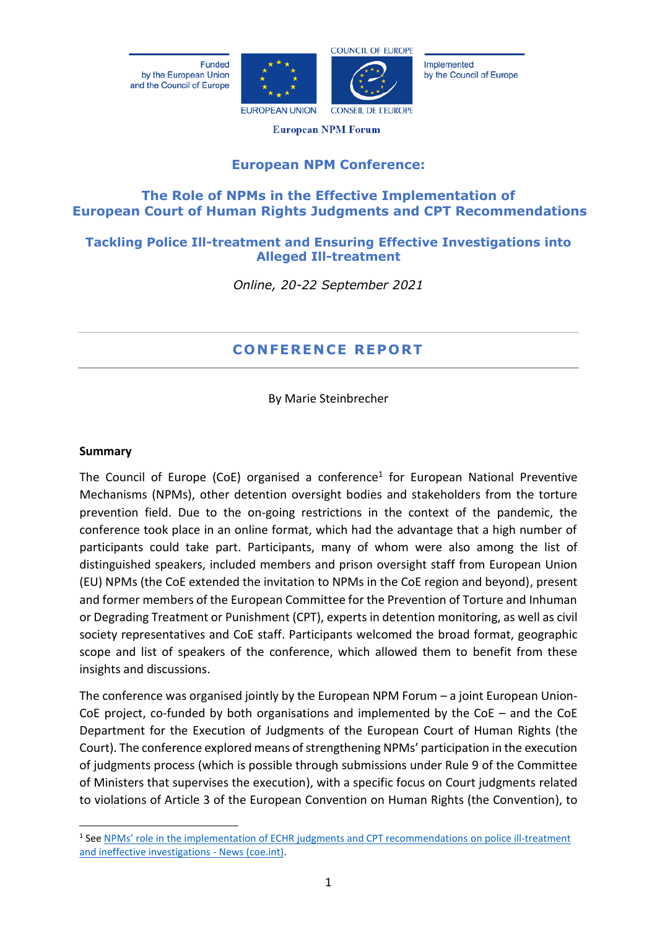Funded by the European Union and the Council of Europe





Implemented by the Council of Europe

**European NPM Forum** 

# **European NPM Conference:**

# **The Role of NPMs in the Effective Implementation of European Court of Human Rights Judgments and CPT Recommendations**

## **Tackling Police Ill-treatment and Ensuring Effective Investigations into Alleged Ill-treatment**

*Online, 20-22 September 2021*

# **CONFEREN CE RE PORT**

By Marie Steinbrecher

#### **Summary**

The Council of Europe (CoE) organised a conference<sup>1</sup> for European National Preventive Mechanisms (NPMs), other detention oversight bodies and stakeholders from the torture prevention field. Due to the on-going restrictions in the context of the pandemic, the conference took place in an online format, which had the advantage that a high number of participants could take part. Participants, many of whom were also among the list of distinguished speakers, included members and prison oversight staff from European Union (EU) NPMs (the CoE extended the invitation to NPMs in the CoE region and beyond), present and former members of the European Committee for the Prevention of Torture and Inhuman or Degrading Treatment or Punishment (CPT), experts in detention monitoring, as well as civil society representatives and CoE staff. Participants welcomed the broad format, geographic scope and list of speakers of the conference, which allowed them to benefit from these insights and discussions.

The conference was organised jointly by the European NPM Forum – a joint European Union-CoE project, co-funded by both organisations and implemented by the CoE – and the CoE Department for the Execution of Judgments of the European Court of Human Rights (the Court). The conference explored means of strengthening NPMs' participation in the execution of judgments process (which is possible through submissions under Rule 9 of the Committee of Ministers that supervises the execution), with a specific focus on Court judgments related to violations of Article 3 of the European Convention on Human Rights (the Convention), to

<sup>&</sup>lt;sup>1</sup> See [NPMs' role in the implementation of ECHR judgments and CPT recommendations](https://www.coe.int/en/web/execution/-/npms-role-in-the-implementation-of-echr-judgments-and-cpt-recommendations-on-police-ill-treatment-and-ineffective-investigations) on police ill-treatment [and ineffective investigations -](https://www.coe.int/en/web/execution/-/npms-role-in-the-implementation-of-echr-judgments-and-cpt-recommendations-on-police-ill-treatment-and-ineffective-investigations) News (coe.int).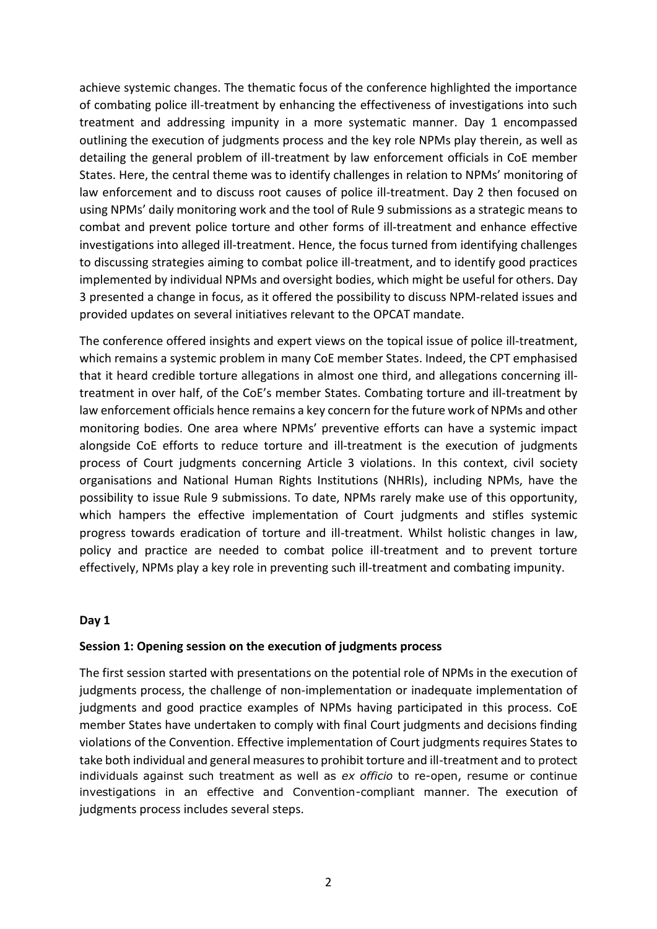achieve systemic changes. The thematic focus of the conference highlighted the importance of combating police ill-treatment by enhancing the effectiveness of investigations into such treatment and addressing impunity in a more systematic manner. Day 1 encompassed outlining the execution of judgments process and the key role NPMs play therein, as well as detailing the general problem of ill-treatment by law enforcement officials in CoE member States. Here, the central theme was to identify challenges in relation to NPMs' monitoring of law enforcement and to discuss root causes of police ill-treatment. Day 2 then focused on using NPMs' daily monitoring work and the tool of Rule 9 submissions as a strategic means to combat and prevent police torture and other forms of ill-treatment and enhance effective investigations into alleged ill-treatment. Hence, the focus turned from identifying challenges to discussing strategies aiming to combat police ill-treatment, and to identify good practices implemented by individual NPMs and oversight bodies, which might be useful for others. Day 3 presented a change in focus, as it offered the possibility to discuss NPM-related issues and provided updates on several initiatives relevant to the OPCAT mandate.

The conference offered insights and expert views on the topical issue of police ill-treatment, which remains a systemic problem in many CoE member States. Indeed, the CPT emphasised that it heard credible torture allegations in almost one third, and allegations concerning illtreatment in over half, of the CoE's member States. Combating torture and ill-treatment by law enforcement officials hence remains a key concern for the future work of NPMs and other monitoring bodies. One area where NPMs' preventive efforts can have a systemic impact alongside CoE efforts to reduce torture and ill-treatment is the execution of judgments process of Court judgments concerning Article 3 violations. In this context, civil society organisations and National Human Rights Institutions (NHRIs), including NPMs, have the possibility to issue Rule 9 submissions. To date, NPMs rarely make use of this opportunity, which hampers the effective implementation of Court judgments and stifles systemic progress towards eradication of torture and ill-treatment. Whilst holistic changes in law, policy and practice are needed to combat police ill-treatment and to prevent torture effectively, NPMs play a key role in preventing such ill-treatment and combating impunity.

## **Day 1**

#### **Session 1: Opening session on the execution of judgments process**

The first session started with presentations on the potential role of NPMs in the execution of judgments process, the challenge of non-implementation or inadequate implementation of judgments and good practice examples of NPMs having participated in this process. CoE member States have undertaken to comply with final Court judgments and decisions finding violations of the Convention. Effective implementation of Court judgments requires States to take both individual and general measures to prohibit torture and ill-treatment and to protect individuals against such treatment as well as *ex officio* to re-open, resume or continue investigations in an effective and Convention-compliant manner. The execution of judgments process includes several steps.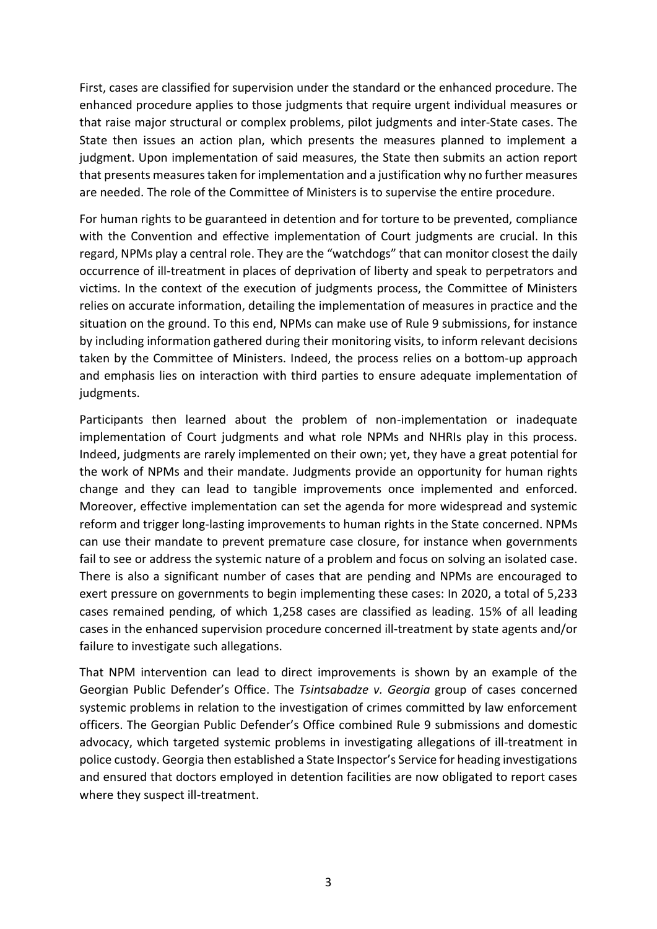First, cases are classified for supervision under the standard or the enhanced procedure. The enhanced procedure applies to those judgments that require urgent individual measures or that raise major structural or complex problems, pilot judgments and inter-State cases. The State then issues an action plan, which presents the measures planned to implement a judgment. Upon implementation of said measures, the State then submits an action report that presents measures taken for implementation and a justification why no further measures are needed. The role of the Committee of Ministers is to supervise the entire procedure.

For human rights to be guaranteed in detention and for torture to be prevented, compliance with the Convention and effective implementation of Court judgments are crucial. In this regard, NPMs play a central role. They are the "watchdogs" that can monitor closest the daily occurrence of ill-treatment in places of deprivation of liberty and speak to perpetrators and victims. In the context of the execution of judgments process, the Committee of Ministers relies on accurate information, detailing the implementation of measures in practice and the situation on the ground. To this end, NPMs can make use of Rule 9 submissions, for instance by including information gathered during their monitoring visits, to inform relevant decisions taken by the Committee of Ministers. Indeed, the process relies on a bottom-up approach and emphasis lies on interaction with third parties to ensure adequate implementation of judgments.

Participants then learned about the problem of non-implementation or inadequate implementation of Court judgments and what role NPMs and NHRIs play in this process. Indeed, judgments are rarely implemented on their own; yet, they have a great potential for the work of NPMs and their mandate. Judgments provide an opportunity for human rights change and they can lead to tangible improvements once implemented and enforced. Moreover, effective implementation can set the agenda for more widespread and systemic reform and trigger long-lasting improvements to human rights in the State concerned. NPMs can use their mandate to prevent premature case closure, for instance when governments fail to see or address the systemic nature of a problem and focus on solving an isolated case. There is also a significant number of cases that are pending and NPMs are encouraged to exert pressure on governments to begin implementing these cases: In 2020, a total of 5,233 cases remained pending, of which 1,258 cases are classified as leading. 15% of all leading cases in the enhanced supervision procedure concerned ill-treatment by state agents and/or failure to investigate such allegations.

That NPM intervention can lead to direct improvements is shown by an example of the Georgian Public Defender's Office. The *Tsintsabadze v. Georgia* group of cases concerned systemic problems in relation to the investigation of crimes committed by law enforcement officers. The Georgian Public Defender's Office combined Rule 9 submissions and domestic advocacy, which targeted systemic problems in investigating allegations of ill-treatment in police custody. Georgia then established a State Inspector's Service for heading investigations and ensured that doctors employed in detention facilities are now obligated to report cases where they suspect ill-treatment.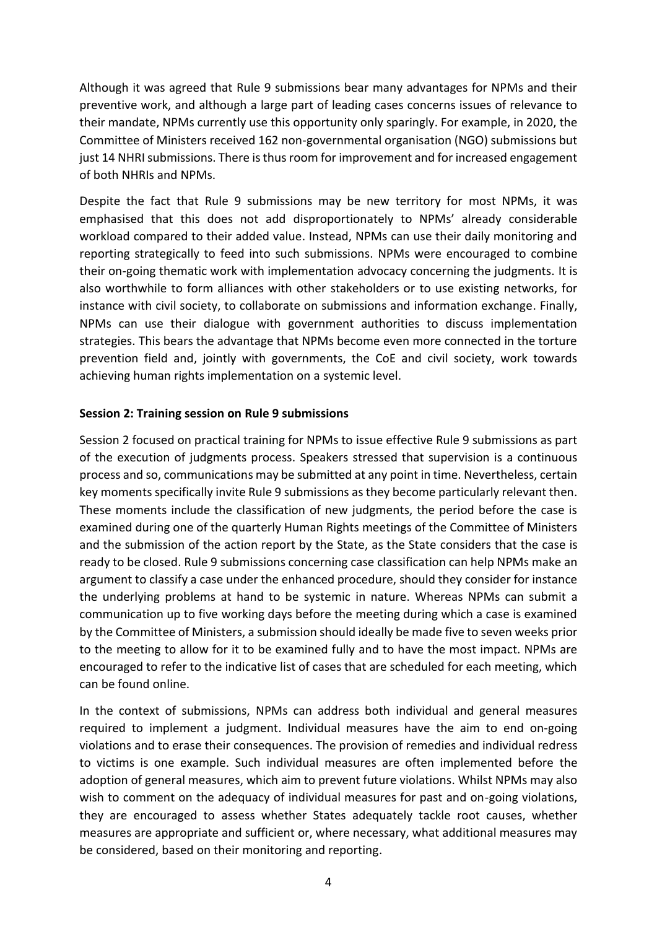Although it was agreed that Rule 9 submissions bear many advantages for NPMs and their preventive work, and although a large part of leading cases concerns issues of relevance to their mandate, NPMs currently use this opportunity only sparingly. For example, in 2020, the Committee of Ministers received 162 non-governmental organisation (NGO) submissions but just 14 NHRI submissions. There is thus room for improvement and for increased engagement of both NHRIs and NPMs.

Despite the fact that Rule 9 submissions may be new territory for most NPMs, it was emphasised that this does not add disproportionately to NPMs' already considerable workload compared to their added value. Instead, NPMs can use their daily monitoring and reporting strategically to feed into such submissions. NPMs were encouraged to combine their on-going thematic work with implementation advocacy concerning the judgments. It is also worthwhile to form alliances with other stakeholders or to use existing networks, for instance with civil society, to collaborate on submissions and information exchange. Finally, NPMs can use their dialogue with government authorities to discuss implementation strategies. This bears the advantage that NPMs become even more connected in the torture prevention field and, jointly with governments, the CoE and civil society, work towards achieving human rights implementation on a systemic level.

## **Session 2: Training session on Rule 9 submissions**

Session 2 focused on practical training for NPMs to issue effective Rule 9 submissions as part of the execution of judgments process. Speakers stressed that supervision is a continuous process and so, communications may be submitted at any point in time. Nevertheless, certain key moments specifically invite Rule 9 submissions as they become particularly relevant then. These moments include the classification of new judgments, the period before the case is examined during one of the quarterly Human Rights meetings of the Committee of Ministers and the submission of the action report by the State, as the State considers that the case is ready to be closed. Rule 9 submissions concerning case classification can help NPMs make an argument to classify a case under the enhanced procedure, should they consider for instance the underlying problems at hand to be systemic in nature. Whereas NPMs can submit a communication up to five working days before the meeting during which a case is examined by the Committee of Ministers, a submission should ideally be made five to seven weeks prior to the meeting to allow for it to be examined fully and to have the most impact. NPMs are encouraged to refer to the indicative list of cases that are scheduled for each meeting, which can be found online.

In the context of submissions, NPMs can address both individual and general measures required to implement a judgment. Individual measures have the aim to end on-going violations and to erase their consequences. The provision of remedies and individual redress to victims is one example. Such individual measures are often implemented before the adoption of general measures, which aim to prevent future violations. Whilst NPMs may also wish to comment on the adequacy of individual measures for past and on-going violations, they are encouraged to assess whether States adequately tackle root causes, whether measures are appropriate and sufficient or, where necessary, what additional measures may be considered, based on their monitoring and reporting.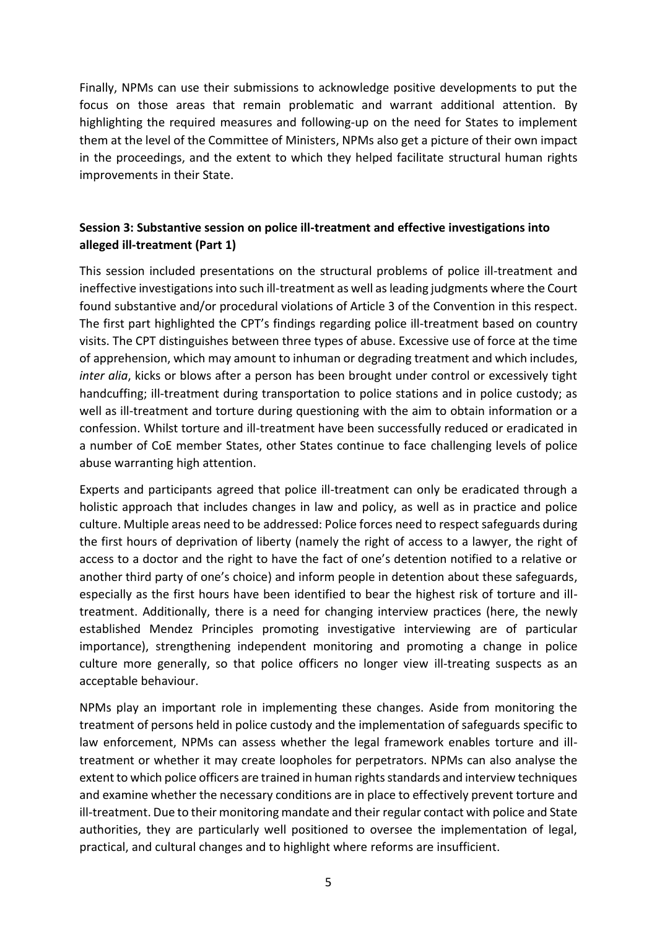Finally, NPMs can use their submissions to acknowledge positive developments to put the focus on those areas that remain problematic and warrant additional attention. By highlighting the required measures and following-up on the need for States to implement them at the level of the Committee of Ministers, NPMs also get a picture of their own impact in the proceedings, and the extent to which they helped facilitate structural human rights improvements in their State.

# **Session 3: Substantive session on police ill-treatment and effective investigations into alleged ill-treatment (Part 1)**

This session included presentations on the structural problems of police ill-treatment and ineffective investigations into such ill-treatment as well as leading judgments where the Court found substantive and/or procedural violations of Article 3 of the Convention in this respect. The first part highlighted the CPT's findings regarding police ill-treatment based on country visits. The CPT distinguishes between three types of abuse. Excessive use of force at the time of apprehension, which may amount to inhuman or degrading treatment and which includes, *inter alia*, kicks or blows after a person has been brought under control or excessively tight handcuffing; ill-treatment during transportation to police stations and in police custody; as well as ill-treatment and torture during questioning with the aim to obtain information or a confession. Whilst torture and ill-treatment have been successfully reduced or eradicated in a number of CoE member States, other States continue to face challenging levels of police abuse warranting high attention.

Experts and participants agreed that police ill-treatment can only be eradicated through a holistic approach that includes changes in law and policy, as well as in practice and police culture. Multiple areas need to be addressed: Police forces need to respect safeguards during the first hours of deprivation of liberty (namely the right of access to a lawyer, the right of access to a doctor and the right to have the fact of one's detention notified to a relative or another third party of one's choice) and inform people in detention about these safeguards, especially as the first hours have been identified to bear the highest risk of torture and illtreatment. Additionally, there is a need for changing interview practices (here, the newly established Mendez Principles promoting investigative interviewing are of particular importance), strengthening independent monitoring and promoting a change in police culture more generally, so that police officers no longer view ill-treating suspects as an acceptable behaviour.

NPMs play an important role in implementing these changes. Aside from monitoring the treatment of persons held in police custody and the implementation of safeguards specific to law enforcement, NPMs can assess whether the legal framework enables torture and illtreatment or whether it may create loopholes for perpetrators. NPMs can also analyse the extent to which police officers are trained in human rights standards and interview techniques and examine whether the necessary conditions are in place to effectively prevent torture and ill-treatment. Due to their monitoring mandate and their regular contact with police and State authorities, they are particularly well positioned to oversee the implementation of legal, practical, and cultural changes and to highlight where reforms are insufficient.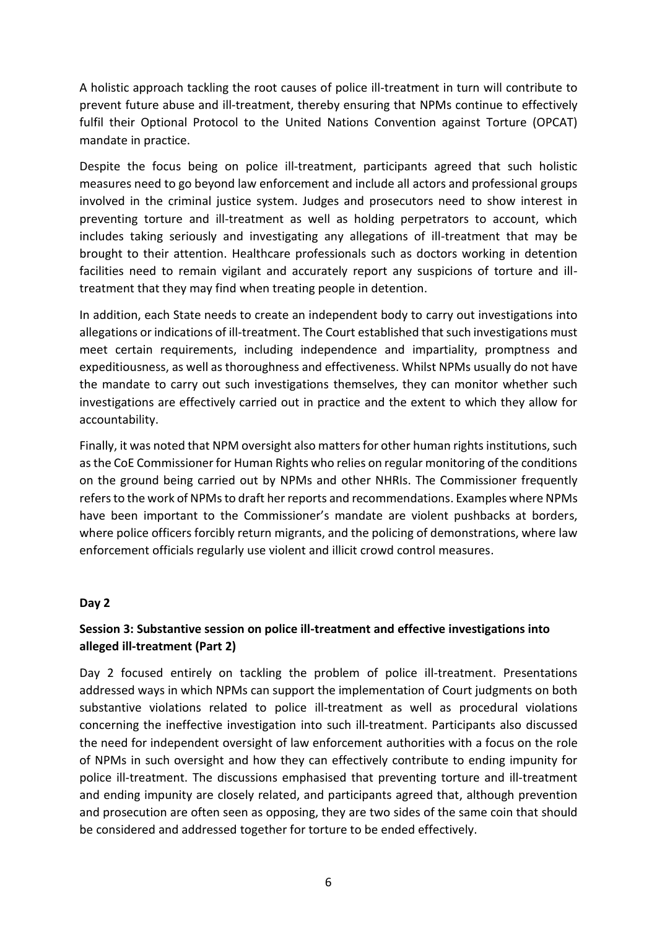A holistic approach tackling the root causes of police ill-treatment in turn will contribute to prevent future abuse and ill-treatment, thereby ensuring that NPMs continue to effectively fulfil their Optional Protocol to the United Nations Convention against Torture (OPCAT) mandate in practice.

Despite the focus being on police ill-treatment, participants agreed that such holistic measures need to go beyond law enforcement and include all actors and professional groups involved in the criminal justice system. Judges and prosecutors need to show interest in preventing torture and ill-treatment as well as holding perpetrators to account, which includes taking seriously and investigating any allegations of ill-treatment that may be brought to their attention. Healthcare professionals such as doctors working in detention facilities need to remain vigilant and accurately report any suspicions of torture and illtreatment that they may find when treating people in detention.

In addition, each State needs to create an independent body to carry out investigations into allegations or indications of ill-treatment. The Court established that such investigations must meet certain requirements, including independence and impartiality, promptness and expeditiousness, as well as thoroughness and effectiveness. Whilst NPMs usually do not have the mandate to carry out such investigations themselves, they can monitor whether such investigations are effectively carried out in practice and the extent to which they allow for accountability.

Finally, it was noted that NPM oversight also matters for other human rights institutions, such asthe CoE Commissioner for Human Rights who relies on regular monitoring of the conditions on the ground being carried out by NPMs and other NHRIs. The Commissioner frequently refers to the work of NPMs to draft her reports and recommendations. Examples where NPMs have been important to the Commissioner's mandate are violent pushbacks at borders, where police officers forcibly return migrants, and the policing of demonstrations, where law enforcement officials regularly use violent and illicit crowd control measures.

## **Day 2**

## **Session 3: Substantive session on police ill-treatment and effective investigations into alleged ill-treatment (Part 2)**

Day 2 focused entirely on tackling the problem of police ill-treatment. Presentations addressed ways in which NPMs can support the implementation of Court judgments on both substantive violations related to police ill-treatment as well as procedural violations concerning the ineffective investigation into such ill-treatment. Participants also discussed the need for independent oversight of law enforcement authorities with a focus on the role of NPMs in such oversight and how they can effectively contribute to ending impunity for police ill-treatment. The discussions emphasised that preventing torture and ill-treatment and ending impunity are closely related, and participants agreed that, although prevention and prosecution are often seen as opposing, they are two sides of the same coin that should be considered and addressed together for torture to be ended effectively.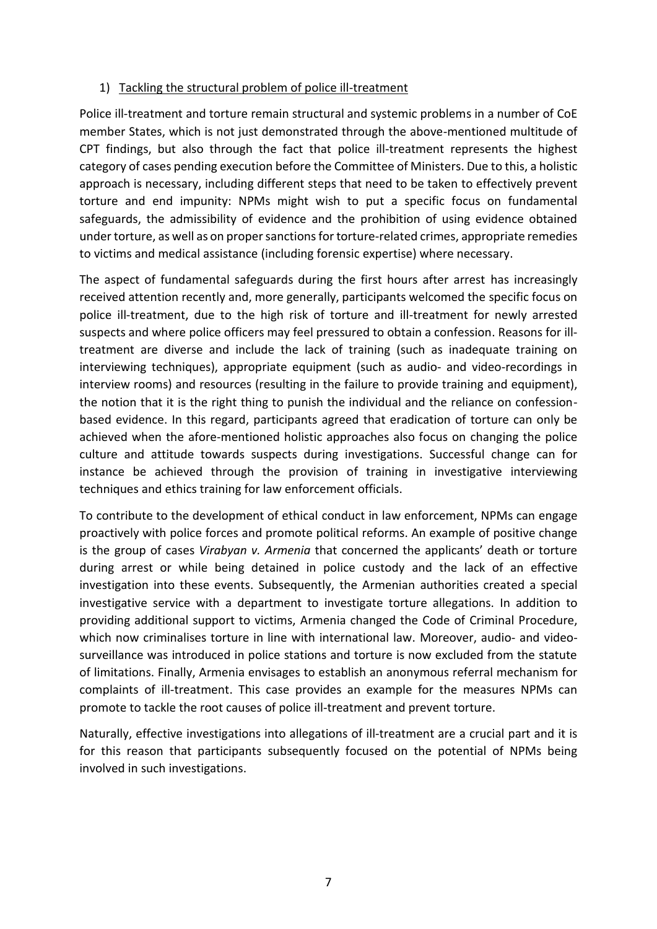## 1) Tackling the structural problem of police ill-treatment

Police ill-treatment and torture remain structural and systemic problems in a number of CoE member States, which is not just demonstrated through the above-mentioned multitude of CPT findings, but also through the fact that police ill-treatment represents the highest category of cases pending execution before the Committee of Ministers. Due to this, a holistic approach is necessary, including different steps that need to be taken to effectively prevent torture and end impunity: NPMs might wish to put a specific focus on fundamental safeguards, the admissibility of evidence and the prohibition of using evidence obtained under torture, as well as on proper sanctionsfor torture-related crimes, appropriate remedies to victims and medical assistance (including forensic expertise) where necessary.

The aspect of fundamental safeguards during the first hours after arrest has increasingly received attention recently and, more generally, participants welcomed the specific focus on police ill-treatment, due to the high risk of torture and ill-treatment for newly arrested suspects and where police officers may feel pressured to obtain a confession. Reasons for illtreatment are diverse and include the lack of training (such as inadequate training on interviewing techniques), appropriate equipment (such as audio- and video-recordings in interview rooms) and resources (resulting in the failure to provide training and equipment), the notion that it is the right thing to punish the individual and the reliance on confessionbased evidence. In this regard, participants agreed that eradication of torture can only be achieved when the afore-mentioned holistic approaches also focus on changing the police culture and attitude towards suspects during investigations. Successful change can for instance be achieved through the provision of training in investigative interviewing techniques and ethics training for law enforcement officials.

To contribute to the development of ethical conduct in law enforcement, NPMs can engage proactively with police forces and promote political reforms. An example of positive change is the group of cases *Virabyan v. Armenia* that concerned the applicants' death or torture during arrest or while being detained in police custody and the lack of an effective investigation into these events. Subsequently, the Armenian authorities created a special investigative service with a department to investigate torture allegations. In addition to providing additional support to victims, Armenia changed the Code of Criminal Procedure, which now criminalises torture in line with international law. Moreover, audio- and videosurveillance was introduced in police stations and torture is now excluded from the statute of limitations. Finally, Armenia envisages to establish an anonymous referral mechanism for complaints of ill-treatment. This case provides an example for the measures NPMs can promote to tackle the root causes of police ill-treatment and prevent torture.

Naturally, effective investigations into allegations of ill-treatment are a crucial part and it is for this reason that participants subsequently focused on the potential of NPMs being involved in such investigations.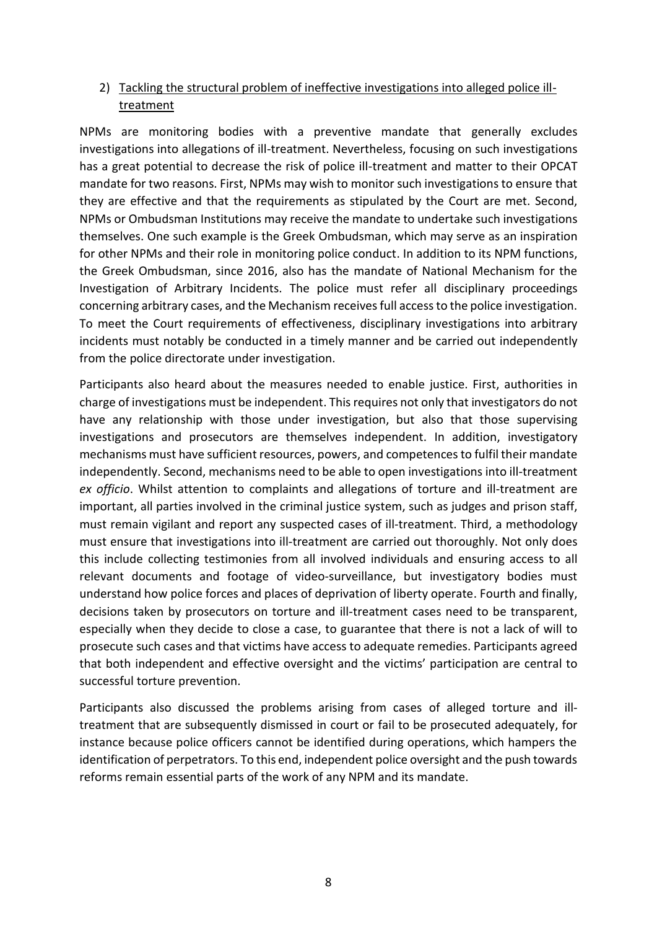## 2) Tackling the structural problem of ineffective investigations into alleged police illtreatment

NPMs are monitoring bodies with a preventive mandate that generally excludes investigations into allegations of ill-treatment. Nevertheless, focusing on such investigations has a great potential to decrease the risk of police ill-treatment and matter to their OPCAT mandate for two reasons. First, NPMs may wish to monitor such investigations to ensure that they are effective and that the requirements as stipulated by the Court are met. Second, NPMs or Ombudsman Institutions may receive the mandate to undertake such investigations themselves. One such example is the Greek Ombudsman, which may serve as an inspiration for other NPMs and their role in monitoring police conduct. In addition to its NPM functions, the Greek Ombudsman, since 2016, also has the mandate of National Mechanism for the Investigation of Arbitrary Incidents. The police must refer all disciplinary proceedings concerning arbitrary cases, and the Mechanism receives full access to the police investigation. To meet the Court requirements of effectiveness, disciplinary investigations into arbitrary incidents must notably be conducted in a timely manner and be carried out independently from the police directorate under investigation.

Participants also heard about the measures needed to enable justice. First, authorities in charge of investigations must be independent. This requires not only that investigators do not have any relationship with those under investigation, but also that those supervising investigations and prosecutors are themselves independent. In addition, investigatory mechanisms must have sufficient resources, powers, and competences to fulfil their mandate independently. Second, mechanisms need to be able to open investigations into ill-treatment *ex officio*. Whilst attention to complaints and allegations of torture and ill-treatment are important, all parties involved in the criminal justice system, such as judges and prison staff, must remain vigilant and report any suspected cases of ill-treatment. Third, a methodology must ensure that investigations into ill-treatment are carried out thoroughly. Not only does this include collecting testimonies from all involved individuals and ensuring access to all relevant documents and footage of video-surveillance, but investigatory bodies must understand how police forces and places of deprivation of liberty operate. Fourth and finally, decisions taken by prosecutors on torture and ill-treatment cases need to be transparent, especially when they decide to close a case, to guarantee that there is not a lack of will to prosecute such cases and that victims have access to adequate remedies. Participants agreed that both independent and effective oversight and the victims' participation are central to successful torture prevention.

Participants also discussed the problems arising from cases of alleged torture and illtreatment that are subsequently dismissed in court or fail to be prosecuted adequately, for instance because police officers cannot be identified during operations, which hampers the identification of perpetrators. To this end, independent police oversight and the push towards reforms remain essential parts of the work of any NPM and its mandate.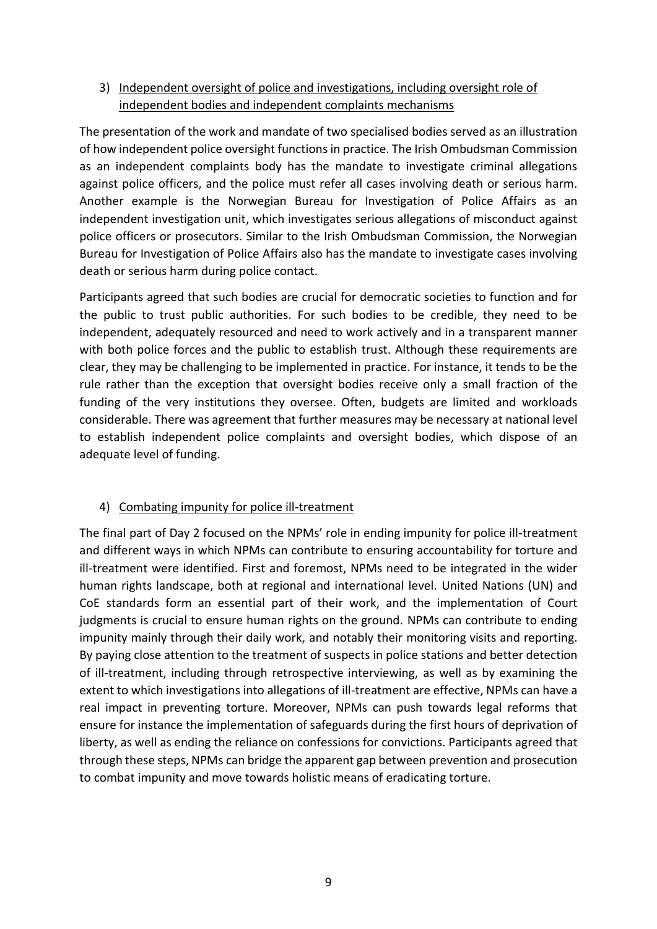# 3) Independent oversight of police and investigations, including oversight role of independent bodies and independent complaints mechanisms

The presentation of the work and mandate of two specialised bodies served as an illustration of how independent police oversight functions in practice. The Irish Ombudsman Commission as an independent complaints body has the mandate to investigate criminal allegations against police officers, and the police must refer all cases involving death or serious harm. Another example is the Norwegian Bureau for Investigation of Police Affairs as an independent investigation unit, which investigates serious allegations of misconduct against police officers or prosecutors. Similar to the Irish Ombudsman Commission, the Norwegian Bureau for Investigation of Police Affairs also has the mandate to investigate cases involving death or serious harm during police contact.

Participants agreed that such bodies are crucial for democratic societies to function and for the public to trust public authorities. For such bodies to be credible, they need to be independent, adequately resourced and need to work actively and in a transparent manner with both police forces and the public to establish trust. Although these requirements are clear, they may be challenging to be implemented in practice. For instance, it tends to be the rule rather than the exception that oversight bodies receive only a small fraction of the funding of the very institutions they oversee. Often, budgets are limited and workloads considerable. There was agreement that further measures may be necessary at national level to establish independent police complaints and oversight bodies, which dispose of an adequate level of funding.

# 4) Combating impunity for police ill-treatment

The final part of Day 2 focused on the NPMs' role in ending impunity for police ill-treatment and different ways in which NPMs can contribute to ensuring accountability for torture and ill-treatment were identified. First and foremost, NPMs need to be integrated in the wider human rights landscape, both at regional and international level. United Nations (UN) and CoE standards form an essential part of their work, and the implementation of Court judgments is crucial to ensure human rights on the ground. NPMs can contribute to ending impunity mainly through their daily work, and notably their monitoring visits and reporting. By paying close attention to the treatment of suspects in police stations and better detection of ill-treatment, including through retrospective interviewing, as well as by examining the extent to which investigations into allegations of ill-treatment are effective, NPMs can have a real impact in preventing torture. Moreover, NPMs can push towards legal reforms that ensure for instance the implementation of safeguards during the first hours of deprivation of liberty, as well as ending the reliance on confessions for convictions. Participants agreed that through these steps, NPMs can bridge the apparent gap between prevention and prosecution to combat impunity and move towards holistic means of eradicating torture.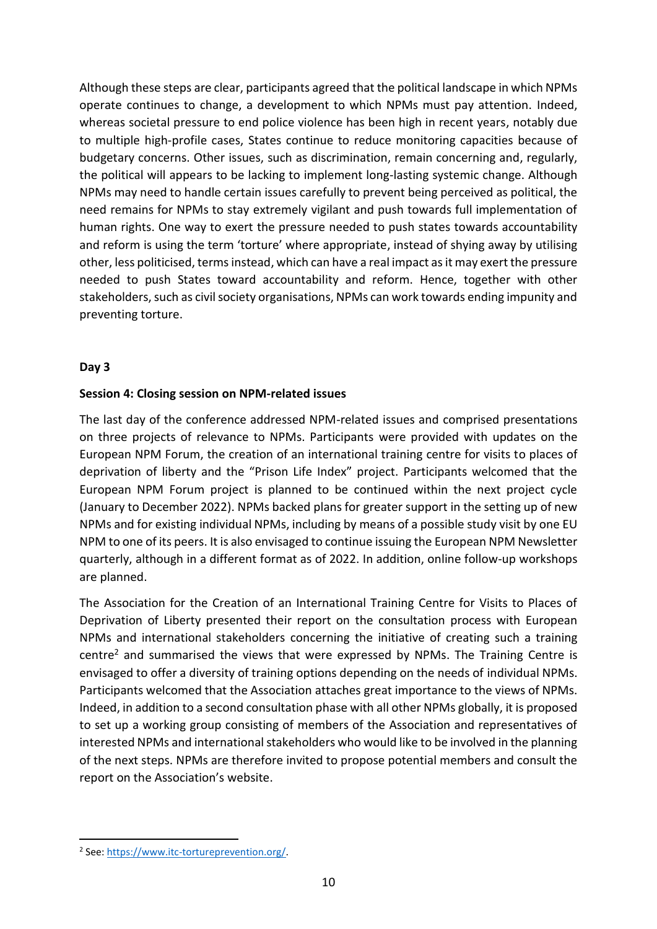Although these steps are clear, participants agreed that the political landscape in which NPMs operate continues to change, a development to which NPMs must pay attention. Indeed, whereas societal pressure to end police violence has been high in recent years, notably due to multiple high-profile cases, States continue to reduce monitoring capacities because of budgetary concerns. Other issues, such as discrimination, remain concerning and, regularly, the political will appears to be lacking to implement long-lasting systemic change. Although NPMs may need to handle certain issues carefully to prevent being perceived as political, the need remains for NPMs to stay extremely vigilant and push towards full implementation of human rights. One way to exert the pressure needed to push states towards accountability and reform is using the term 'torture' where appropriate, instead of shying away by utilising other, less politicised, terms instead, which can have a real impact as it may exert the pressure needed to push States toward accountability and reform. Hence, together with other stakeholders, such as civil society organisations, NPMs can work towards ending impunity and preventing torture.

#### **Day 3**

#### **Session 4: Closing session on NPM-related issues**

The last day of the conference addressed NPM-related issues and comprised presentations on three projects of relevance to NPMs. Participants were provided with updates on the European NPM Forum, the creation of an international training centre for visits to places of deprivation of liberty and the "Prison Life Index" project. Participants welcomed that the European NPM Forum project is planned to be continued within the next project cycle (January to December 2022). NPMs backed plans for greater support in the setting up of new NPMs and for existing individual NPMs, including by means of a possible study visit by one EU NPM to one of its peers. It is also envisaged to continue issuing the European NPM Newsletter quarterly, although in a different format as of 2022. In addition, online follow-up workshops are planned.

The Association for the Creation of an International Training Centre for Visits to Places of Deprivation of Liberty presented their report on the consultation process with European NPMs and international stakeholders concerning the initiative of creating such a training centre<sup>2</sup> and summarised the views that were expressed by NPMs. The Training Centre is envisaged to offer a diversity of training options depending on the needs of individual NPMs. Participants welcomed that the Association attaches great importance to the views of NPMs. Indeed, in addition to a second consultation phase with all other NPMs globally, it is proposed to set up a working group consisting of members of the Association and representatives of interested NPMs and international stakeholders who would like to be involved in the planning of the next steps. NPMs are therefore invited to propose potential members and consult the report on the Association's website.

<sup>&</sup>lt;sup>2</sup> See: https://www.itc-tortureprevention.org/